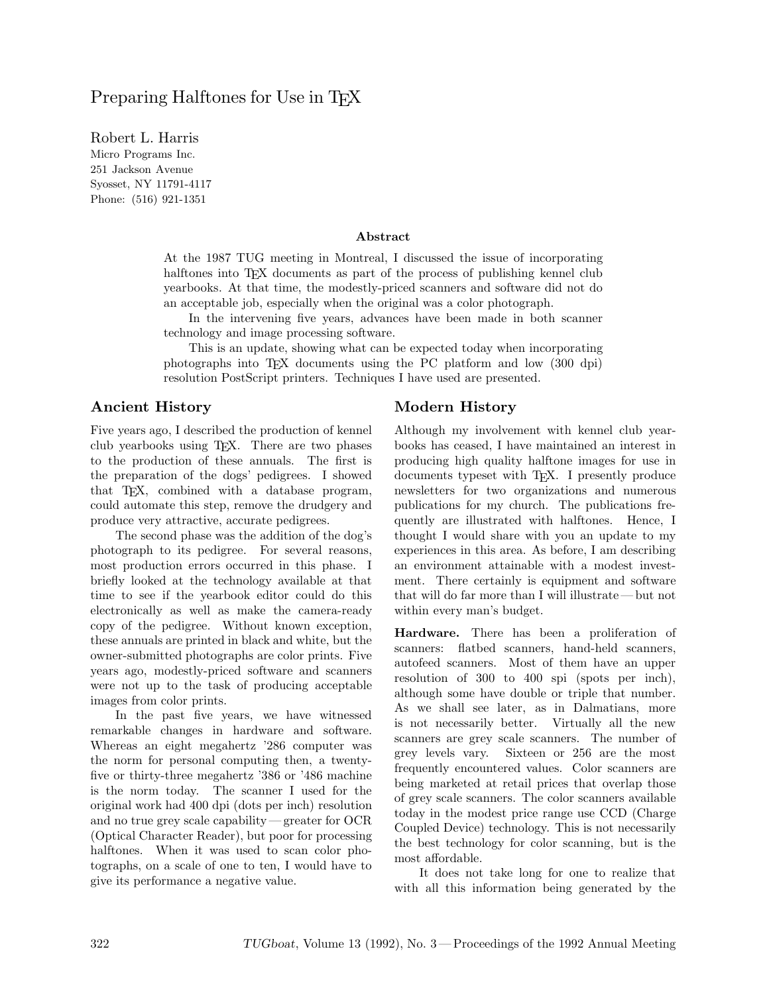# Preparing Halftones for Use in T<sub>EX</sub>

Robert L. Harris Micro Programs Inc.<br>251 Jackson Avenue Syosset, NY 11791-4117 sysset, NY 11791-1117<br>Dhenet (516) 091-1251  $\left(5,1,6\right)$ 

#### **Abstract**

At the 1987 TUG meeting in Montreal, I discussed the issue of incorporating halftones into T<sub>EX</sub> documents as part of the process of publishing kennel club yearbooks. At that time, the modestly-priced scanners and software did not do an acceptable job, especially when the original was a color photograph.

In the intervening five years, advances have been made in both scanner technology and image processing software.

This is an update, showing what can be expected today when incorporating photographs into TEX documents using the PC platform and low (300 dpi) resolution PostScript printers. Techniques I have used are presented.

### **Ancient History**

Five years ago, I described the production of kennel club yearbooks using TEX. There are two phases to the production of these annuals. The first is the preparation of the dogs' pedigrees. I showed that TEX, combined with a database program, could automate this step, remove the drudgery and produce very attractive, accurate pedigrees.

The second phase was the addition of the dog's photograph to its pedigree. For several reasons, most production errors occurred in this phase. I briefly looked at the technology available at that time to see if the yearbook editor could do this electronically as well as make the camera-ready copy of the pedigree. Without known exception, these annuals are printed in black and white, but the owner-submitted photographs are color prints. Five years ago, modestly-priced software and scanners were not up to the task of producing acceptable images from color prints.

In the past five years, we have witnessed remarkable changes in hardware and software. Whereas an eight megahertz '286 computer was the norm for personal computing then, a twentyfive or thirty-three megahertz '386 or '486 machine is the norm today. The scanner I used for the original work had 400 dpi (dots per inch) resolution and no true grey scale capability— greater for OCR (Optical Character Reader), but poor for processing halftones. When it was used to scan color photographs, on a scale of one to ten, I would have to give its performance a negative value.

## **Modern History**

Although my involvement with kennel club yearbooks has ceased, I have maintained an interest in producing high quality halftone images for use in documents typeset with TEX. I presently produce newsletters for two organizations and numerous publications for my church. The publications frequently are illustrated with halftones. Hence, I thought I would share with you an update to my experiences in this area. As before, I am describing an environment attainable with a modest investment. There certainly is equipment and software that will do far more than I will illustrate— but not within every man's budget.

**Hardware.** There has been a proliferation of scanners: flatbed scanners, hand-held scanners, autofeed scanners. Most of them have an upper resolution of 300 to 400 spi (spots per inch), although some have double or triple that number. As we shall see later, as in Dalmatians, more is not necessarily better. Virtually all the new scanners are grey scale scanners. The number of grey levels vary. Sixteen or 256 are the most frequently encountered values. Color scanners are being marketed at retail prices that overlap those of grey scale scanners. The color scanners available today in the modest price range use CCD (Charge Coupled Device) technology. This is not necessarily the best technology for color scanning, but is the most affordable.

It does not take long for one to realize that with all this information being generated by the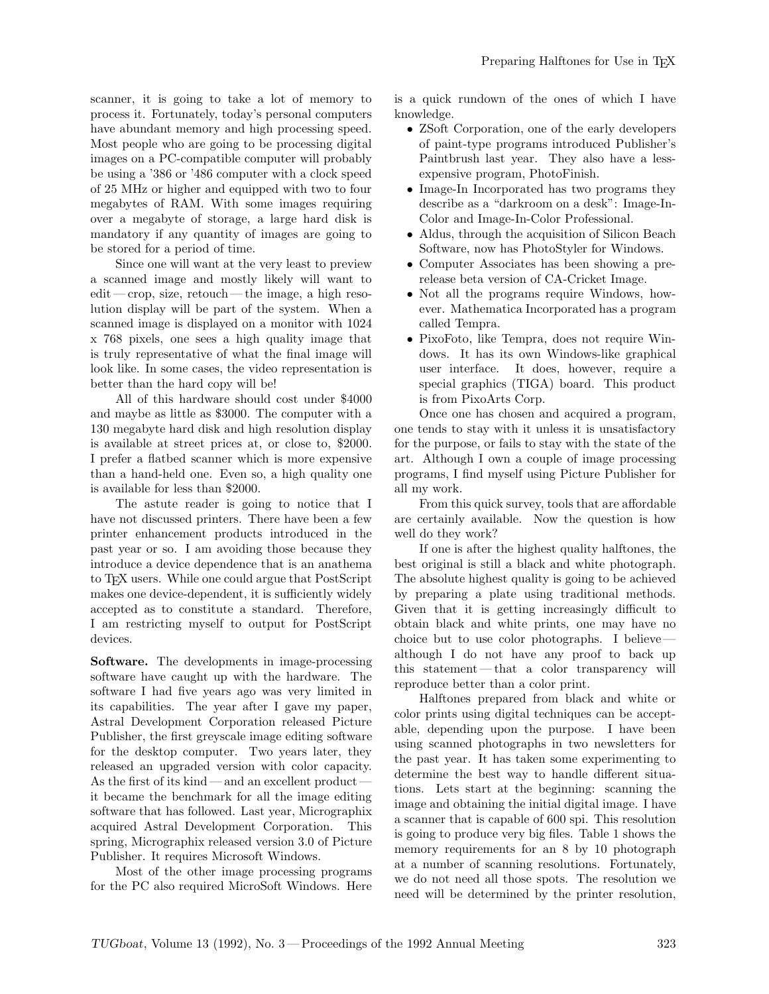scanner, it is going to take a lot of memory to process it. Fortunately, today's personal computers have abundant memory and high processing speed. Most people who are going to be processing digital images on a PC-compatible computer will probably be using a '386 or '486 computer with a clock speed of 25 MHz or higher and equipped with two to four megabytes of RAM. With some images requiring over a megabyte of storage, a large hard disk is mandatory if any quantity of images are going to be stored for a period of time.

Since one will want at the very least to preview a scanned image and mostly likely will want to edit— crop, size, retouch— the image, a high resolution display will be part of the system. When a scanned image is displayed on a monitor with 1024 x 768 pixels, one sees a high quality image that is truly representative of what the final image will look like. In some cases, the video representation is better than the hard copy will be!

All of this hardware should cost under \$4000 and maybe as little as \$3000. The computer with a 130 megabyte hard disk and high resolution display is available at street prices at, or close to, \$2000. I prefer a flatbed scanner which is more expensive than a hand-held one. Even so, a high quality one is available for less than \$2000.

The astute reader is going to notice that I have not discussed printers. There have been a few printer enhancement products introduced in the past year or so. I am avoiding those because they introduce a device dependence that is an anathema to TEX users. While one could argue that PostScript makes one device-dependent, it is sufficiently widely accepted as to constitute a standard. Therefore, I am restricting myself to output for PostScript devices.

**Software.** The developments in image-processing software have caught up with the hardware. The software I had five years ago was very limited in its capabilities. The year after I gave my paper, Astral Development Corporation released Picture Publisher, the first greyscale image editing software for the desktop computer. Two years later, they released an upgraded version with color capacity. As the first of its kind — and an excellent productit became the benchmark for all the image editing software that has followed. Last year, Micrographix acquired Astral Development Corporation. This spring, Micrographix released version 3.0 of Picture Publisher. It requires Microsoft Windows.

Most of the other image processing programs for the PC also required MicroSoft Windows. Here

is a quick rundown of the ones of which I have knowledge.

- ZSoft Corporation, one of the early developers of paint-type programs introduced Publisher's Paintbrush last year. They also have a lessexpensive program, PhotoFinish.
- Image-In Incorporated has two programs they describe as a "darkroom on a desk": Image-In-Color and Image-In-Color Professional.
- *•* Aldus, through the acquisition of Silicon Beach Software, now has PhotoStyler for Windows.
- *•* Computer Associates has been showing a prerelease beta version of CA-Cricket Image.
- Not all the programs require Windows, however. Mathematica Incorporated has a program called Tempra.
- *•* PixoFoto, like Tempra, does not require Windows. It has its own Windows-like graphical user interface. It does, however, require a special graphics (TIGA) board. This product is from PixoArts Corp.

Once one has chosen and acquired a program, one tends to stay with it unless it is unsatisfactory for the purpose, or fails to stay with the state of the art. Although I own a couple of image processing programs, I find myself using Picture Publisher for all my work.

From this quick survey, tools that are affordable are certainly available. Now the question is how well do they work?

If one is after the highest quality halftones, the best original is still a black and white photograph. The absolute highest quality is going to be achieved by preparing a plate using traditional methods. Given that it is getting increasingly difficult to obtain black and white prints, one may have no choice but to use color photographs. I believe although I do not have any proof to back up this statement— that a color transparency will reproduce better than a color print.

Halftones prepared from black and white or color prints using digital techniques can be acceptable, depending upon the purpose. I have been using scanned photographs in two newsletters for the past year. It has taken some experimenting to determine the best way to handle different situations. Lets start at the beginning: scanning the image and obtaining the initial digital image. I have a scanner that is capable of 600 spi. This resolution is going to produce very big files. Table 1 shows the memory requirements for an 8 by 10 photograph at a number of scanning resolutions. Fortunately, we do not need all those spots. The resolution we need will be determined by the printer resolution,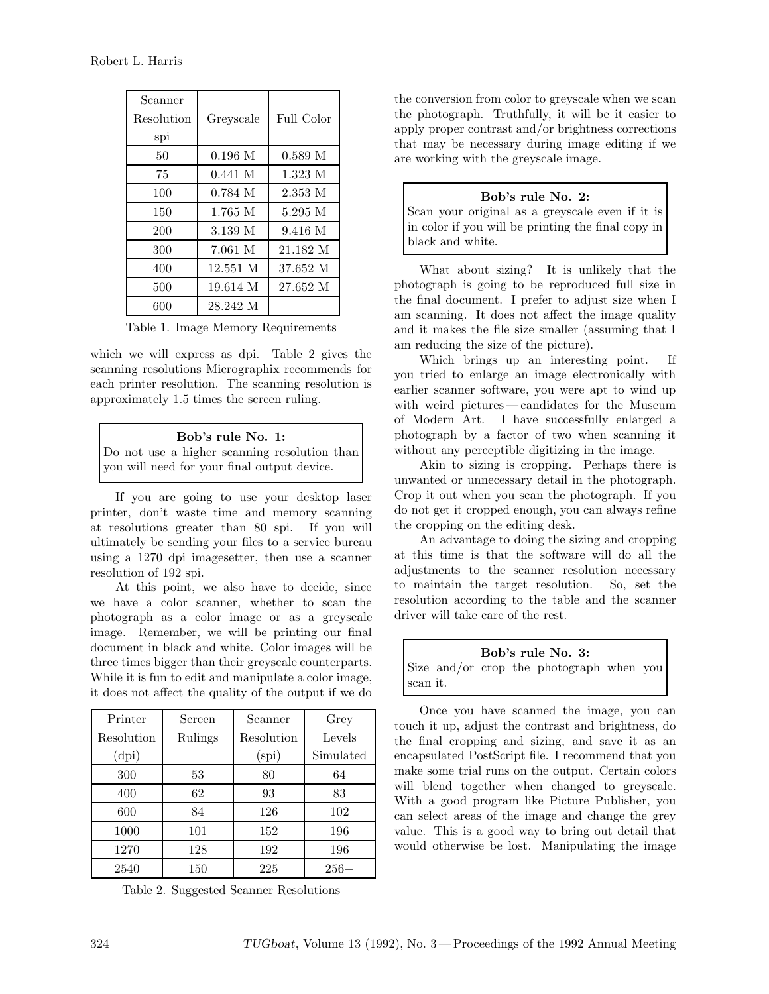| Scanner<br>Resolution<br>spi | Greyscale | Full Color         |
|------------------------------|-----------|--------------------|
| 50                           | $0.196$ M | 0.589 <sub>M</sub> |
| 75                           | 0.441 M   | 1.323M             |
| 100                          | 0.784 M   | 2.353 M            |
| 150                          | 1.765 M   | 5.295 M            |
| 200                          | 3.139 M   | 9.416 M            |
| 300                          | 7.061 M   | 21.182 M           |
| 400                          | 12.551 M  | 37.652 M           |
| 500                          | 19.614 M  | 27.652 M           |
| 600                          | 28.242 M  |                    |
|                              |           |                    |

Table 1. Image Memory Requirements

which we will express as dpi. Table 2 gives the scanning resolutions Micrographix recommends for each printer resolution. The scanning resolution is approximately 1.5 times the screen ruling.

### **Bob's rule No. 1:**

Do not use a higher scanning resolution than you will need for your final output device.

If you are going to use your desktop laser printer, don't waste time and memory scanning at resolutions greater than 80 spi. If you will ultimately be sending your files to a service bureau using a 1270 dpi imagesetter, then use a scanner resolution of 192 spi.

At this point, we also have to decide, since we have a color scanner, whether to scan the photograph as a color image or as a greyscale image. Remember, we will be printing our final document in black and white. Color images will be three times bigger than their greyscale counterparts. While it is fun to edit and manipulate a color image, it does not affect the quality of the output if we do

| Printer    | Screen  | Scanner        | Grey      |
|------------|---------|----------------|-----------|
| Resolution | Rulings | Resolution     | Levels    |
| (dpi)      |         | $_{\rm (spi)}$ | Simulated |
| 300        | 53      | 80             | 64        |
| 400        | 62      | 93             | 83        |
| 600        | 84      | 126            | 102       |
| 1000       | 101     | 152            | 196       |
| 1270       | 128     | 192            | 196       |
| 2540       | 150     | 225            | $256+$    |

Table 2. Suggested Scanner Resolutions

the conversion from color to greyscale when we scan the photograph. Truthfully, it will be it easier to apply proper contrast and/or brightness corrections that may be necessary during image editing if we are working with the greyscale image.

### **Bob's rule No. 2:**

Scan your original as a greyscale even if it is in color if you will be printing the final copy in black and white.

What about sizing? It is unlikely that the photograph is going to be reproduced full size in the final document. I prefer to adjust size when I am scanning. It does not affect the image quality and it makes the file size smaller (assuming that I am reducing the size of the picture).

Which brings up an interesting point. If you tried to enlarge an image electronically with earlier scanner software, you were apt to wind up with weird pictures — candidates for the Museum of Modern Art. I have successfully enlarged a photograph by a factor of two when scanning it without any perceptible digitizing in the image.

Akin to sizing is cropping. Perhaps there is unwanted or unnecessary detail in the photograph. Crop it out when you scan the photograph. If you do not get it cropped enough, you can always refine the cropping on the editing desk.

An advantage to doing the sizing and cropping at this time is that the software will do all the adjustments to the scanner resolution necessary to maintain the target resolution. So, set the resolution according to the table and the scanner driver will take care of the rest.

**Bob's rule No. 3:** Size and/or crop the photograph when you scan it.

Once you have scanned the image, you can touch it up, adjust the contrast and brightness, do the final cropping and sizing, and save it as an encapsulated PostScript file. I recommend that you make some trial runs on the output. Certain colors will blend together when changed to greyscale. With a good program like Picture Publisher, you can select areas of the image and change the grey value. This is a good way to bring out detail that would otherwise be lost. Manipulating the image

Robert L. Harris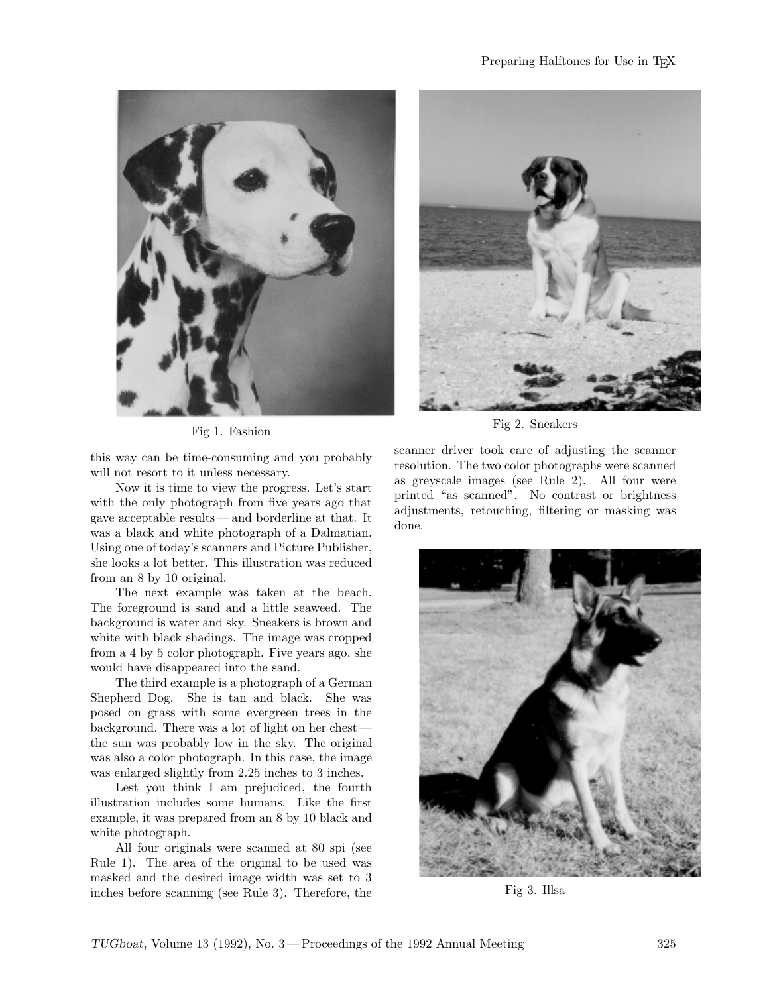

Fig 1. Fashion

this way can be time-consuming and you probably will not resort to it unless necessary.

Now it is time to view the progress. Let's start with the only photograph from five years ago that gave acceptable results— and borderline at that. It was a black and white photograph of a Dalmatian. Using one of today's scanners and Picture Publisher, she looks a lot better. This illustration was reduced from an 8 by 10 original.

The next example was taken at the beach. The foreground is sand and a little seaweed. The background is water and sky. Sneakers is brown and white with black shadings. The image was cropped from a 4 by 5 color photograph. Five years ago, she would have disappeared into the sand.

The third example is a photograph of a German Shepherd Dog. She is tan and black. She was posed on grass with some evergreen trees in the background. There was a lot of light on her chest the sun was probably low in the sky. The original was also a color photograph. In this case, the image was enlarged slightly from 2.25 inches to 3 inches.

Lest you think I am prejudiced, the fourth illustration includes some humans. Like the first example, it was prepared from an 8 by 10 black and white photograph.

All four originals were scanned at 80 spi (see Rule 1). The area of the original to be used was masked and the desired image width was set to 3 inches before scanning (see Rule 3). Therefore, the



Fig 2. Sneakers

scanner driver took care of adjusting the scanner resolution. The two color photographs were scanned as greyscale images (see Rule 2). All four were printed "as scanned". No contrast or brightness adjustments, retouching, filtering or masking was done.



Fig 3. Illsa